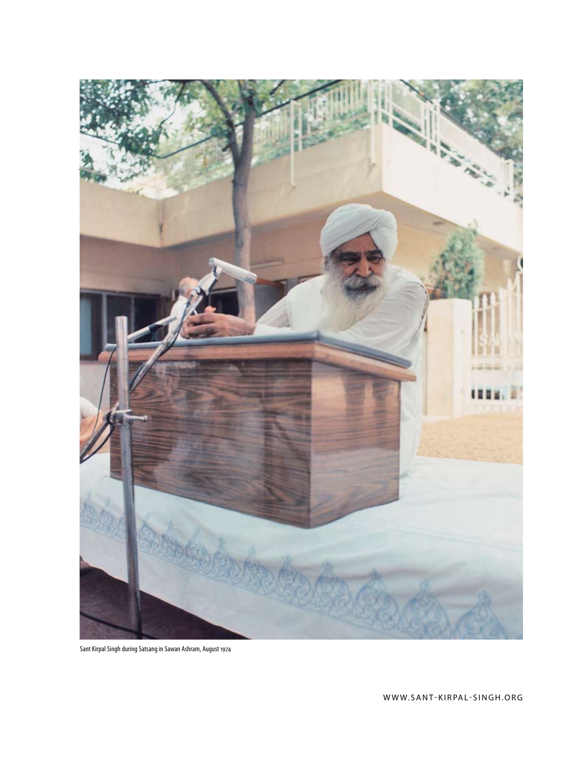

Sant Kirpal Singh during Satsang in Sawan Ashram, August 1974